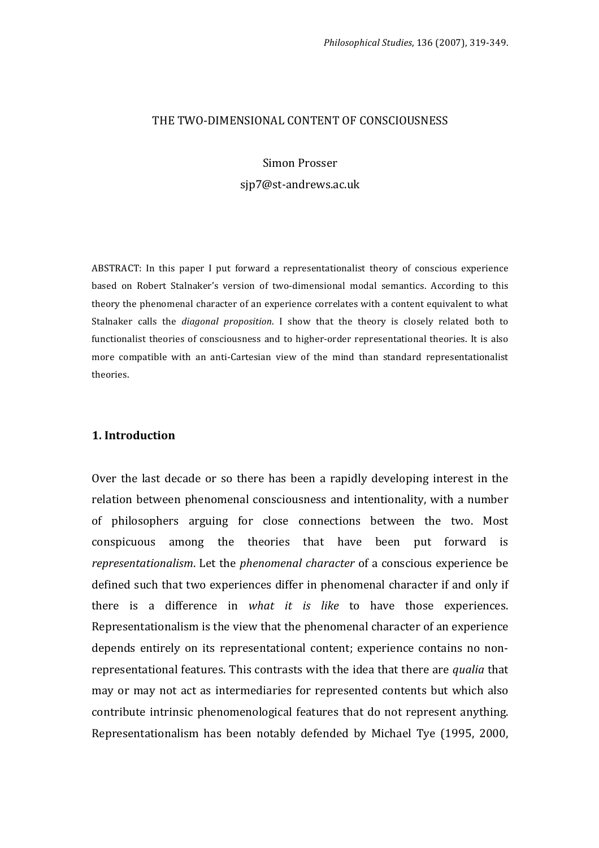## THE TWO-DIMENSIONAL CONTENT OF CONSCIOUSNESS

# Simon Prosser sip7@st-andrews.ac.uk

ABSTRACT: In this paper I put forward a representationalist theory of conscious experience based on Robert Stalnaker's version of two-dimensional modal semantics. According to this theory the phenomenal character of an experience correlates with a content equivalent to what Stalnaker calls the *diagonal proposition*. I show that the theory is closely related both to functionalist theories of consciousness and to higher-order representational theories. It is also more compatible with an anti-Cartesian view of the mind than standard representationalist theories.

# **1. Introduction**

Over the last decade or so there has been a rapidly developing interest in the relation between phenomenal consciousness and intentionality, with a number of philosophers arguing for close connections between the two. Most conspicuous among the theories that have been put forward is" *representationalism.* Let the *phenomenal character* of a conscious experience be defined such that two experiences differ in phenomenal character if and only if there is a difference in *what it is like* to have those experiences. Representationalism is the view that the phenomenal character of an experience depends entirely on its representational content; experience contains no nonrepresentational features. This contrasts with the idea that there are *qualia* that may or may not act as intermediaries for represented contents but which also contribute intrinsic phenomenological features that do not represent anything. Representationalism has been notably defended by Michael Tye (1995, 2000,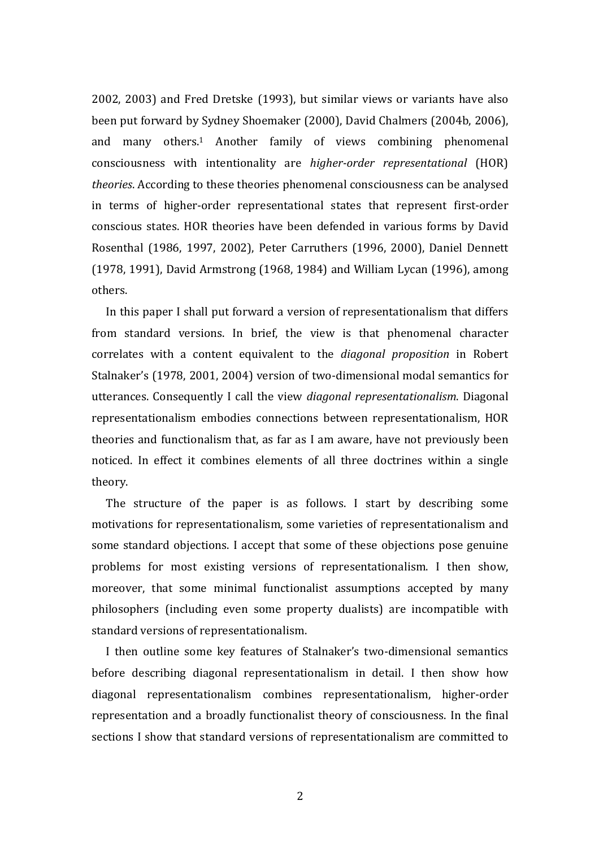2002, 2003) and Fred Dretske (1993), but similar views or variants have also been put forward by Sydney Shoemaker (2000), David Chalmers (2004b, 2006), and many others.<sup>1</sup> Another family of views combining phenomenal consciousness with intentionality are *higher-order representational* (HOR) *theories*. According to these theories phenomenal consciousness can be analysed in terms of higher-order representational states that represent first-order conscious states. HOR theories have been defended in various forms by David Rosenthal (1986, 1997, 2002), Peter Carruthers (1996, 2000), Daniel Dennett (1978, 1991), David Armstrong (1968, 1984) and William Lycan (1996), among others.

In this paper I shall put forward a version of representationalism that differs from standard versions. In brief, the view is that phenomenal character correlates with a content equivalent to the *diagonal proposition* in Robert Stalnaker's (1978, 2001, 2004) version of two-dimensional modal semantics for utterances. Consequently I call the view *diagonal representationalism*. Diagonal representationalism embodies connections between representationalism, HOR theories and functionalism that, as far as I am aware, have not previously been noticed. In effect it combines elements of all three doctrines within a single theory.

The structure of the paper is as follows. I start by describing some motivations for representationalism, some varieties of representationalism and some standard objections. I accept that some of these objections pose genuine problems for most existing versions of representationalism. I then show, moreover, that some minimal functionalist assumptions accepted by many philosophers (including even some property dualists) are incompatible with standard versions of representationalism.

I then outline some key features of Stalnaker's two-dimensional semantics before describing diagonal representationalism in detail. I then show how diagonal representationalism combines representationalism, higher-order representation and a broadly functionalist theory of consciousness. In the final sections I show that standard versions of representationalism are committed to

2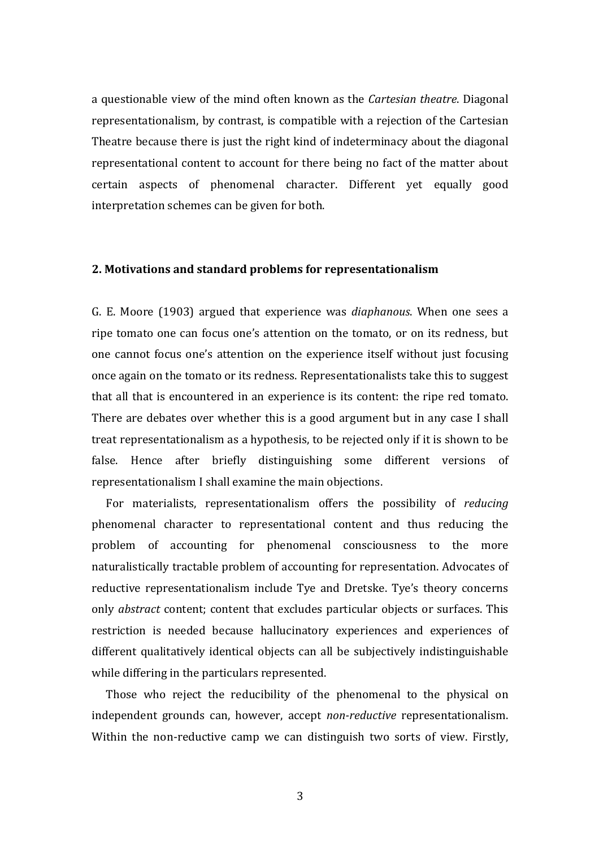a questionable view of the mind often known as the *Cartesian theatre*. Diagonal representationalism, by contrast, is compatible with a rejection of the Cartesian Theatre because there is just the right kind of indeterminacy about the diagonal representational content to account for there being no fact of the matter about certain aspects of phenomenal character. Different yet equally good interpretation schemes can be given for both.

## 2. Motivations and standard problems for representationalism

G. E. Moore (1903) argued that experience was *diaphanous*. When one sees a ripe tomato one can focus one's attention on the tomato, or on its redness, but one cannot focus one's attention on the experience itself without just focusing once again on the tomato or its redness. Representationalists take this to suggest that all that is encountered in an experience is its content: the ripe red tomato. There are debates over whether this is a good argument but in any case I shall treat representationalism as a hypothesis, to be rejected only if it is shown to be false. Hence after briefly distinguishing some different versions of representationalism I shall examine the main objections.

For materialists, representationalism offers the possibility of *reducing* phenomenal character to representational content and thus reducing the problem of accounting for phenomenal consciousness to the more naturalistically tractable problem of accounting for representation. Advocates of reductive representationalism include Tye and Dretske. Tye's theory concerns only *abstract* content; content that excludes particular objects or surfaces. This restriction is needed because hallucinatory experiences and experiences of different qualitatively identical objects can all be subjectively indistinguishable while differing in the particulars represented.

Those who reject the reducibility of the phenomenal to the physical on independent grounds can, however, accept non-reductive representationalism. Within the non-reductive camp we can distinguish two sorts of view. Firstly,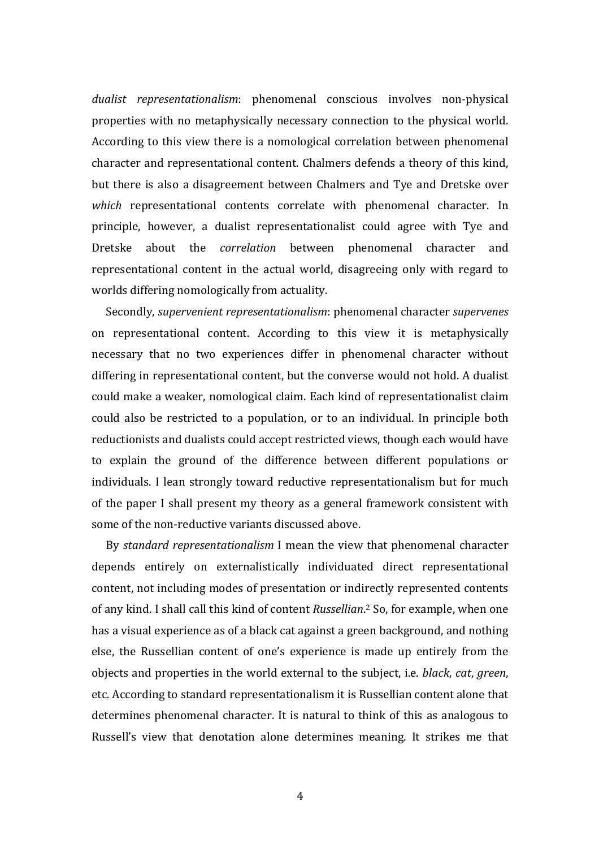dualist representationalism: phenomenal conscious involves non-physical properties with no metaphysically necessary connection to the physical world. According to this view there is a nomological correlation between phenomenal character and representational content. Chalmers defends a theory of this kind, but there is also a disagreement between Chalmers and Tye and Dretske over which representational contents correlate with phenomenal character. In principle, however, a dualist representationalist could agree with Tye and Dretske about the *correlation* between phenomenal character and representational content in the actual world, disagreeing only with regard to worlds differing nomologically from actuality.

Secondly,"*supervenient\*representationalism*:"phenomenal"character"*supervenes* on representational content. According to this view it is metaphysically necessary that no two experiences differ in phenomenal character without differing in representational content, but the converse would not hold. A dualist could make a weaker, nomological claim. Each kind of representationalist claim could also be restricted to a population, or to an individual. In principle both reductionists and dualists could accept restricted views, though each would have to explain the ground of the difference between different populations or individuals. I lean strongly toward reductive representationalism but for much of the paper I shall present my theory as a general framework consistent with some of the non-reductive variants discussed above.

By *standard representationalism* I mean the view that phenomenal character depends entirely on externalistically individuated direct representational content, not including modes of presentation or indirectly represented contents of any kind. I shall call this kind of content *Russellian*.<sup>2</sup> So, for example, when one has a visual experience as of a black cat against a green background, and nothing else, the Russellian content of one's experience is made up entirely from the objects"and"properties"in"the"world"external"to"the"subject,"i.e."*black*,"*cat*,"*green*," etc. According to standard representationalism it is Russellian content alone that determines phenomenal character. It is natural to think of this as analogous to Russell's view that denotation alone determines meaning. It strikes me that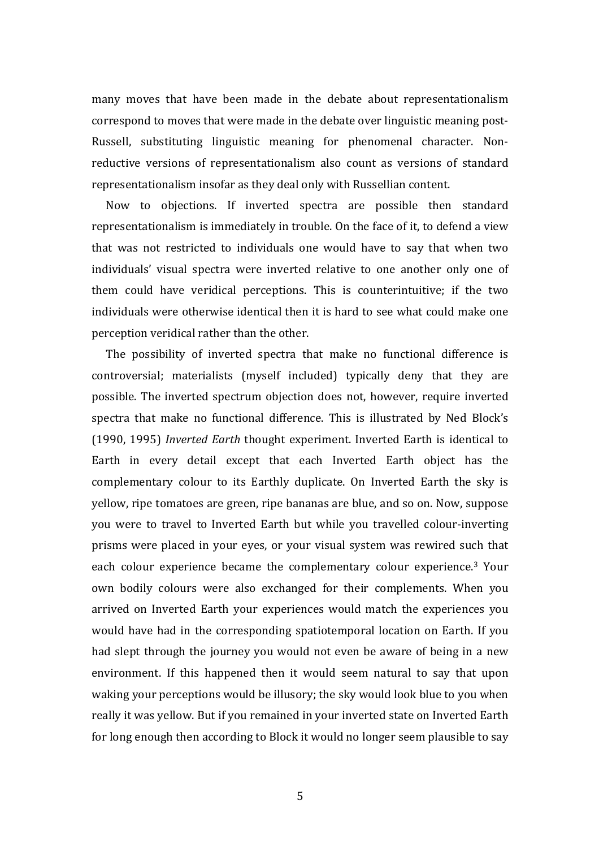many moves that have been made in the debate about representationalism correspond to moves that were made in the debate over linguistic meaning post-Russell, substituting linguistic meaning for phenomenal character. Nonreductive versions of representationalism also count as versions of standard representationalism insofar as they deal only with Russellian content.

Now to objections. If inverted spectra are possible then standard representationalism is immediately in trouble. On the face of it, to defend a view that was not restricted to individuals one would have to say that when two individuals' visual spectra were inverted relative to one another only one of them could have veridical perceptions. This is counterintuitive; if the two individuals were otherwise identical then it is hard to see what could make one perception veridical rather than the other.

The possibility of inverted spectra that make no functional difference is" controversial; materialists (myself included) typically deny that they are possible. The inverted spectrum objection does not, however, require inverted spectra that make no functional difference. This is illustrated by Ned Block's (1990, 1995) *Inverted Earth* thought experiment. Inverted Earth is identical to Earth in every detail except that each Inverted Earth object has the complementary colour to its Earthly duplicate. On Inverted Earth the sky is" yellow, ripe tomatoes are green, ripe bananas are blue, and so on. Now, suppose you were to travel to Inverted Earth but while you travelled colour-inverting prisms were placed in your eyes, or your visual system was rewired such that each colour experience became the complementary colour experience.<sup>3</sup> Your own bodily colours were also exchanged for their complements. When you arrived on Inverted Earth your experiences would match the experiences you would have had in the corresponding spatiotemporal location on Earth. If you had slept through the journey you would not even be aware of being in a new environment. If this happened then it would seem natural to say that upon waking your perceptions would be illusory; the sky would look blue to you when really it was yellow. But if you remained in your inverted state on Inverted Earth for long enough then according to Block it would no longer seem plausible to say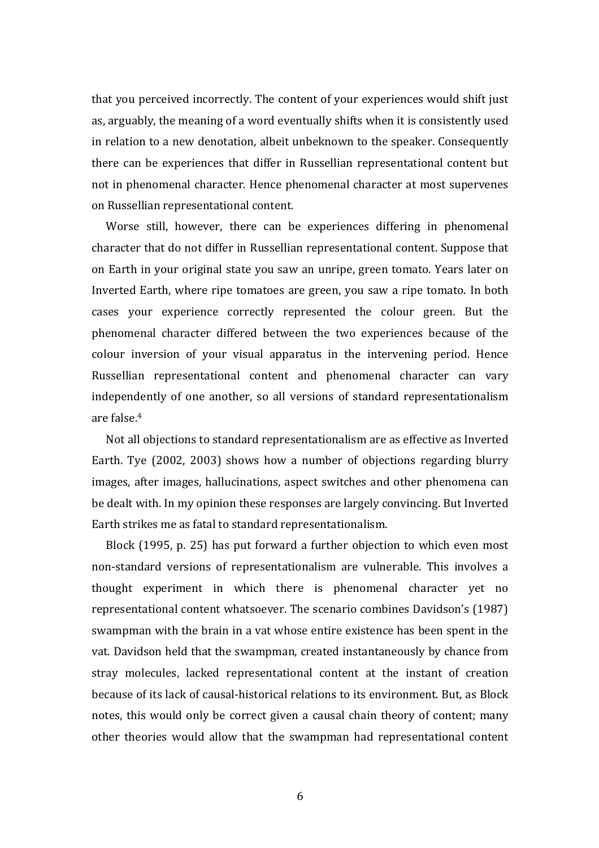that you perceived incorrectly. The content of your experiences would shift just as, arguably, the meaning of a word eventually shifts when it is consistently used in relation to a new denotation, albeit unbeknown to the speaker. Consequently there can be experiences that differ in Russellian representational content but not in phenomenal character. Hence phenomenal character at most supervenes on Russellian representational content.

Worse still, however, there can be experiences differing in phenomenal character that do not differ in Russellian representational content. Suppose that on Earth in your original state you saw an unripe, green tomato. Years later on Inverted Earth, where ripe tomatoes are green, you saw a ripe tomato. In both cases your experience correctly represented the colour green. But the phenomenal character differed between the two experiences because of the colour inversion of your visual apparatus in the intervening period. Hence Russellian representational content and phenomenal character can vary independently of one another, so all versions of standard representationalism are false.<sup>4</sup>

Not all objections to standard representationalism are as effective as Inverted Earth. Tye (2002, 2003) shows how a number of objections regarding blurry images, after images, hallucinations, aspect switches and other phenomena can be dealt with. In my opinion these responses are largely convincing. But Inverted Earth strikes me as fatal to standard representationalism.

Block (1995, p. 25) has put forward a further objection to which even most non-standard versions of representationalism are vulnerable. This involves a thought experiment in which there is phenomenal character yet no representational content whatsoever. The scenario combines Davidson's (1987) swampman with the brain in a vat whose entire existence has been spent in the vat. Davidson held that the swampman, created instantaneously by chance from stray molecules, lacked representational content at the instant of creation because of its lack of causal-historical relations to its environment. But, as Block notes, this would only be correct given a causal chain theory of content; many other theories would allow that the swampman had representational content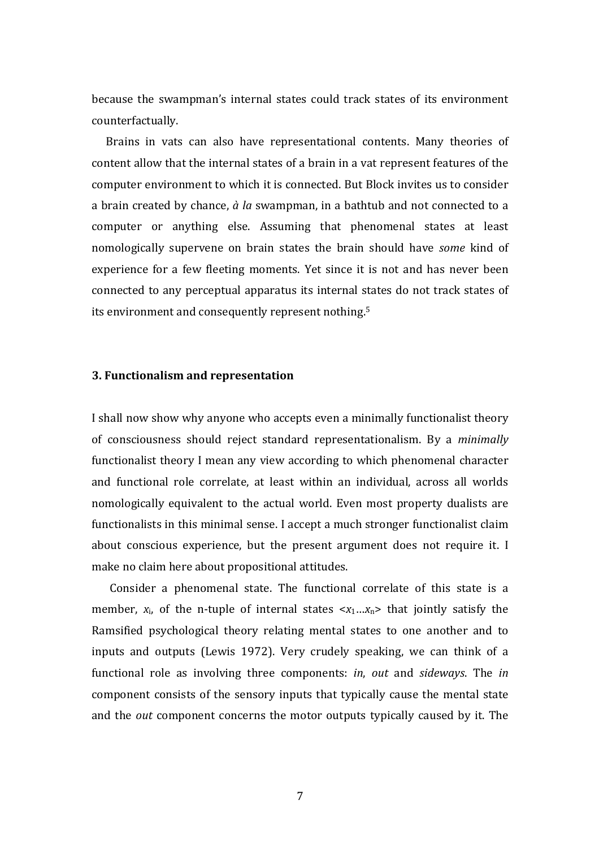because the swampman's internal states could track states of its environment counterfactually.

Brains in vats can also have representational contents. Many theories of content allow that the internal states of a brain in a vat represent features of the computer environment to which it is connected. But Block invites us to consider a brain created by chance, *à la* swampman, in a bathtub and not connected to a computer or anything else. Assuming that phenomenal states at least nomologically supervene on brain states the brain should have *some* kind of experience for a few fleeting moments. Yet since it is not and has never been connected to any perceptual apparatus its internal states do not track states of its environment and consequently represent nothing.<sup>5</sup>

## **3. Functionalism and representation**

I shall now show why anyone who accepts even a minimally functionalist theory of" consciousness" should" reject" standard" representationalism." By" a" *minimally* functionalist theory I mean any view according to which phenomenal character and functional role correlate, at least within an individual, across all worlds nomologically equivalent to the actual world. Even most property dualists are functionalists in this minimal sense. I accept a much stronger functionalist claim about conscious experience, but the present argument does not require it. I make no claim here about propositional attitudes.

Consider a phenomenal state. The functional correlate of this state is a member,  $x_i$ , of the n-tuple of internal states  $\langle x_1...x_n \rangle$  that jointly satisfy the Ramsified psychological theory relating mental states to one another and to inputs and outputs (Lewis 1972). Very crudely speaking, we can think of a functional role as involving three components: *in*, *out* and *sideways*. The *in* component consists of the sensory inputs that typically cause the mental state and the *out* component concerns the motor outputs typically caused by it. The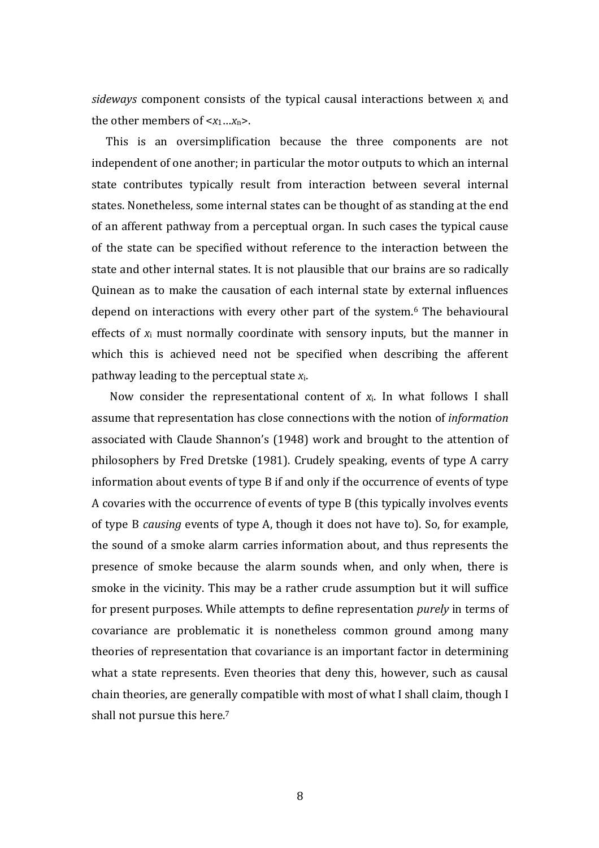*sideways* component consists of the typical causal interactions between  $x_i$  and the other members of  $\langle x_1...x_n \rangle$ .

This is an oversimplification because the three components are not independent of one another; in particular the motor outputs to which an internal state contributes typically result from interaction between several internal states. Nonetheless, some internal states can be thought of as standing at the end of an afferent pathway from a perceptual organ. In such cases the typical cause of the state can be specified without reference to the interaction between the state and other internal states. It is not plausible that our brains are so radically Quinean as to make the causation of each internal state by external influences depend on interactions with every other part of the system.<sup>6</sup> The behavioural effects of  $x_i$  must normally coordinate with sensory inputs, but the manner in which this is achieved need not be specified when describing the afferent pathway leading to the perceptual state  $x_i$ .

Now consider the representational content of  $x_i$ . In what follows I shall assume that representation has close connections with the notion of *information* associated with Claude Shannon's (1948) work and brought to the attention of philosophers by Fred Dretske (1981). Crudely speaking, events of type A carry information about events of type B if and only if the occurrence of events of type A covaries with the occurrence of events of type B (this typically involves events") of type B *causing* events of type A, though it does not have to). So, for example, the sound of a smoke alarm carries information about, and thus represents the presence of smoke because the alarm sounds when, and only when, there is smoke in the vicinity. This may be a rather crude assumption but it will suffice for present purposes. While attempts to define representation *purely* in terms of covariance are problematic it is nonetheless common ground among many theories of representation that covariance is an important factor in determining what a state represents. Even theories that deny this, however, such as causal chain theories, are generally compatible with most of what I shall claim, though I shall not pursue this here.<sup>7</sup>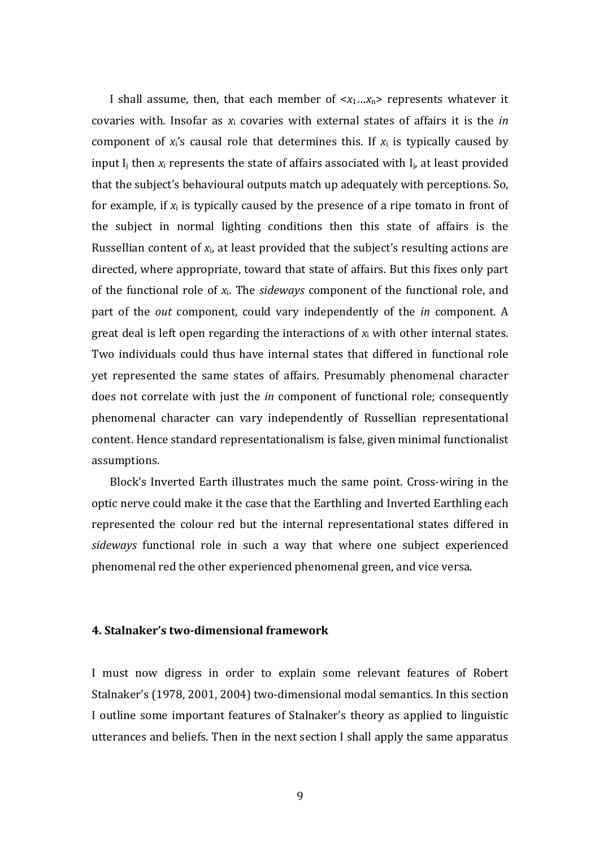I shall assume, then, that each member of  $\langle x_1...x_n \rangle$  represents whatever it covaries with. Insofar as  $x_i$  covaries with external states of affairs it is the *in* component of  $x_i$ 's causal role that determines this. If  $x_i$  is typically caused by input  $I_i$  then  $x_i$  represents the state of affairs associated with  $I_i$ , at least provided that the subject's behavioural outputs match up adequately with perceptions. So, for example, if  $x_i$  is typically caused by the presence of a ripe tomato in front of the subject in normal lighting conditions then this state of affairs is the Russellian content of  $x_i$ , at least provided that the subject's resulting actions are directed, where appropriate, toward that state of affairs. But this fixes only part of the functional role of  $x_i$ . The *sideways* component of the functional role, and part of the *out* component, could vary independently of the *in* component. A great deal is left open regarding the interactions of  $x_i$  with other internal states. Two individuals could thus have internal states that differed in functional role yet represented the same states of affairs. Presumably phenomenal character does not correlate with just the *in* component of functional role; consequently phenomenal character can vary independently of Russellian representational content. Hence standard representationalism is false, given minimal functionalist assumptions.

Block's Inverted Earth illustrates much the same point. Cross-wiring in the optic nerve could make it the case that the Earthling and Inverted Earthling each represented the colour red but the internal representational states differed in sideways functional role in such a way that where one subject experienced phenomenal red the other experienced phenomenal green, and vice versa.

## **4. Stalnaker's two-dimensional framework**

I must now digress in order to explain some relevant features of Robert Stalnaker's (1978, 2001, 2004) two-dimensional modal semantics. In this section I outline some important features of Stalnaker's theory as applied to linguistic utterances and beliefs. Then in the next section I shall apply the same apparatus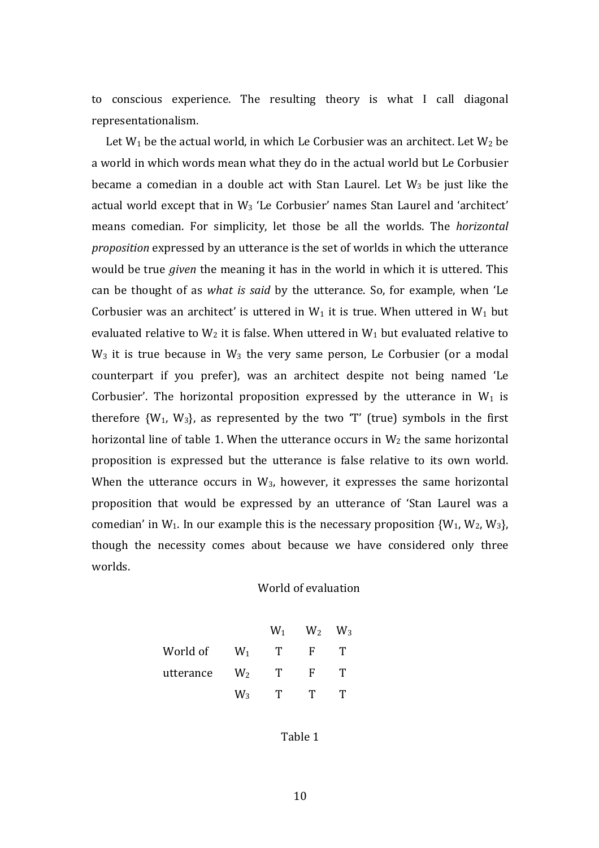to conscious experience. The resulting theory is what I call diagonal representationalism.

Let  $W_1$  be the actual world, in which Le Corbusier was an architect. Let  $W_2$  be a world in which words mean what they do in the actual world but Le Corbusier became a comedian in a double act with Stan Laurel. Let  $W_3$  be just like the actual world except that in  $W_3$  'Le Corbusier' names Stan Laurel and 'architect' means comedian. For simplicity, let those be all the worlds. The *horizontal proposition* expressed by an utterance is the set of worlds in which the utterance would be true *given* the meaning it has in the world in which it is uttered. This can be thought of as *what is said* by the utterance. So, for example, when 'Le Corbusier was an architect' is uttered in  $W_1$  it is true. When uttered in  $W_1$  but evaluated relative to  $W_2$  it is false. When uttered in  $W_1$  but evaluated relative to  $W_3$  it is true because in  $W_3$  the very same person, Le Corbusier (or a modal counterpart if you prefer), was an architect despite not being named 'Le Corbusier'. The horizontal proposition expressed by the utterance in  $W_1$  is therefore  $\{W_1, W_3\}$ , as represented by the two 'T' (true) symbols in the first horizontal line of table 1. When the utterance occurs in  $W_2$  the same horizontal proposition is expressed but the utterance is false relative to its own world. When the utterance occurs in  $W_3$ , however, it expresses the same horizontal proposition that would be expressed by an utterance of 'Stan Laurel was a comedian' in W<sub>1</sub>. In our example this is the necessary proposition  $\{W_1, W_2, W_3\}$ , though the necessity comes about because we have considered only three worlds.

#### World of evaluation

|           |       | $W_1$ | $W_2$ | W <sub>3</sub> |
|-----------|-------|-------|-------|----------------|
| World of  | $W_1$ | T     | F     | т              |
| utterance | $W_2$ | T     | F     | т              |
|           | W3    | Т     | T     |                |

Table 1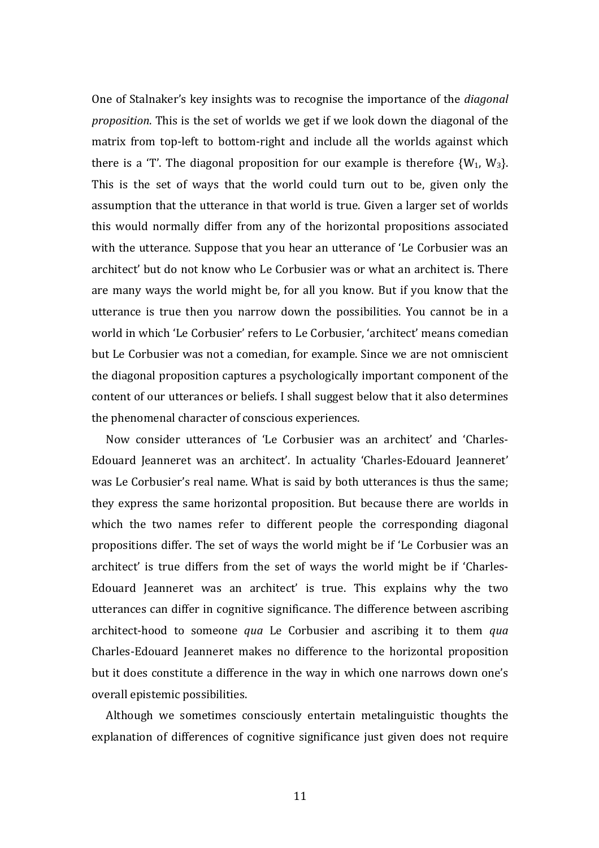One of Stalnaker's key insights was to recognise the importance of the *diagonal proposition*. This is the set of worlds we get if we look down the diagonal of the matrix from top-left to bottom-right and include all the worlds against which there is a 'T'. The diagonal proposition for our example is therefore  $\{W_1, W_3\}$ . This is the set of ways that the world could turn out to be, given only the assumption that the utterance in that world is true. Given a larger set of worlds this would normally differ from any of the horizontal propositions associated with the utterance. Suppose that you hear an utterance of 'Le Corbusier was an architect' but do not know who Le Corbusier was or what an architect is. There are many ways the world might be, for all you know. But if you know that the utterance is true then you narrow down the possibilities. You cannot be in a world in which 'Le Corbusier' refers to Le Corbusier, 'architect' means comedian but Le Corbusier was not a comedian, for example. Since we are not omniscient the diagonal proposition captures a psychologically important component of the content of our utterances or beliefs. I shall suggest below that it also determines the phenomenal character of conscious experiences.

Now consider utterances of 'Le Corbusier was an architect' and 'Charles-Edouard Jeanneret was an architect'. In actuality 'Charles-Edouard Jeanneret' was Le Corbusier's real name. What is said by both utterances is thus the same; they express the same horizontal proposition. But because there are worlds in which the two names refer to different people the corresponding diagonal propositions differ. The set of ways the world might be if 'Le Corbusier was an architect' is true differs from the set of ways the world might be if 'Charles-Edouard Jeanneret was an architect' is true. This explains why the two utterances can differ in cognitive significance. The difference between ascribing architect-hood to someone *qua* Le Corbusier and ascribing it to them *qua* Charles-Edouard Jeanneret makes no difference to the horizontal proposition but it does constitute a difference in the way in which one narrows down one's overall epistemic possibilities.

Although we sometimes consciously entertain metalinguistic thoughts the explanation of differences of cognitive significance just given does not require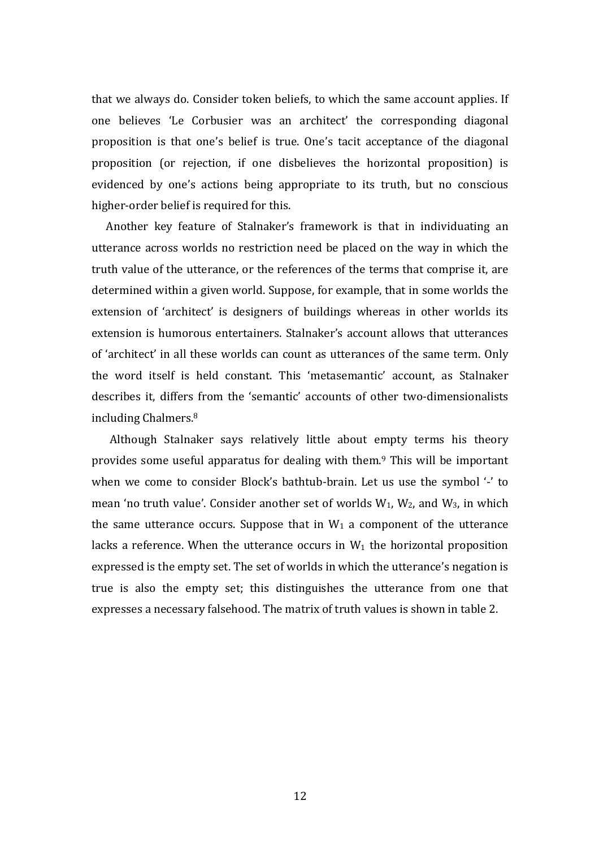that we always do. Consider token beliefs, to which the same account applies. If one believes 'Le Corbusier was an architect' the corresponding diagonal proposition is that one's belief is true. One's tacit acceptance of the diagonal proposition (or rejection, if one disbelieves the horizontal proposition) is evidenced by one's actions being appropriate to its truth, but no conscious higher-order belief is required for this.

Another key feature of Stalnaker's framework is that in individuating an utterance across worlds no restriction need be placed on the way in which the truth value of the utterance, or the references of the terms that comprise it, are determined within a given world. Suppose, for example, that in some worlds the extension of 'architect' is designers of buildings whereas in other worlds its" extension is humorous entertainers. Stalnaker's account allows that utterances of 'architect' in all these worlds can count as utterances of the same term. Only the word itself is held constant. This 'metasemantic' account, as Stalnaker describes it, differs from the 'semantic' accounts of other two-dimensionalists including Chalmers.<sup>8</sup>

Although Stalnaker says relatively little about empty terms his theory provides some useful apparatus for dealing with them.<sup>9</sup> This will be important when we come to consider Block's bathtub-brain. Let us use the symbol '-' to mean 'no truth value'. Consider another set of worlds  $W_1$ ,  $W_2$ , and  $W_3$ , in which the same utterance occurs. Suppose that in  $W_1$  a component of the utterance lacks a reference. When the utterance occurs in  $W_1$  the horizontal proposition expressed is the empty set. The set of worlds in which the utterance's negation is true is also the empty set; this distinguishes the utterance from one that expresses a necessary falsehood. The matrix of truth values is shown in table 2.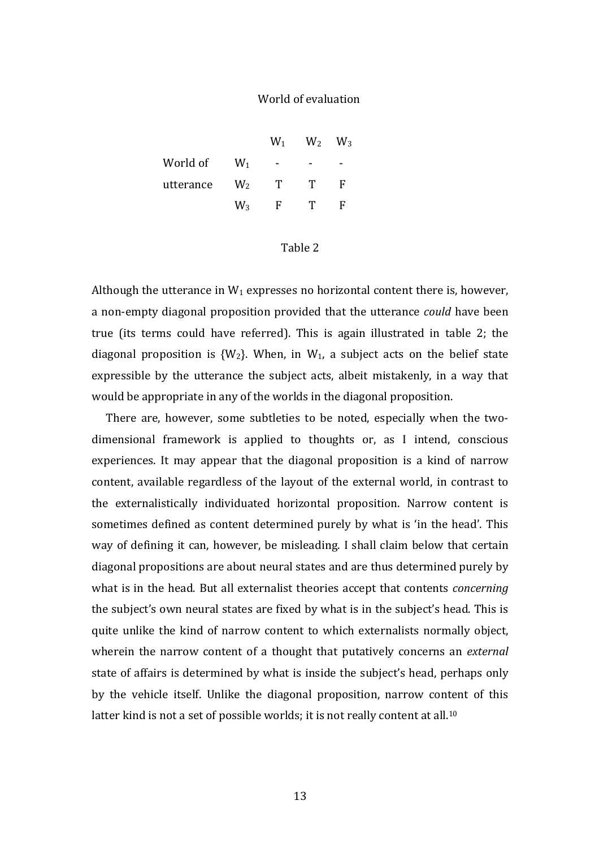# World of evaluation

|           |                | $W_1$ | $W_2$ | $W_3$ |
|-----------|----------------|-------|-------|-------|
| World of  | $W_1$          |       |       |       |
| utterance | W <sub>2</sub> | T     | Т     | F     |
|           | $W_3$          | F     | Т     | F     |

| O<br>o |  |
|--------|--|
|--------|--|

Although the utterance in  $W_1$  expresses no horizontal content there is, however, a non-empty diagonal proposition provided that the utterance *could* have been true (its terms could have referred). This is again illustrated in table 2; the diagonal proposition is  ${W_2}$ . When, in  $W_1$ , a subject acts on the belief state expressible by the utterance the subject acts, albeit mistakenly, in a way that would be appropriate in any of the worlds in the diagonal proposition.

There are, however, some subtleties to be noted, especially when the twodimensional framework is applied to thoughts or, as I intend, conscious experiences. It may appear that the diagonal proposition is a kind of narrow content, available regardless of the layout of the external world, in contrast to the externalistically individuated horizontal proposition. Narrow content is sometimes defined as content determined purely by what is 'in the head'. This way of defining it can, however, be misleading. I shall claim below that certain diagonal propositions are about neural states and are thus determined purely by what is in the head. But all externalist theories accept that contents *concerning* the subject's own neural states are fixed by what is in the subject's head. This is quite unlike the kind of narrow content to which externalists normally object, wherein the narrow content of a thought that putatively concerns an *external* state of affairs is determined by what is inside the subject's head, perhaps only by the vehicle itself. Unlike the diagonal proposition, narrow content of this latter kind is not a set of possible worlds; it is not really content at all.<sup>10</sup>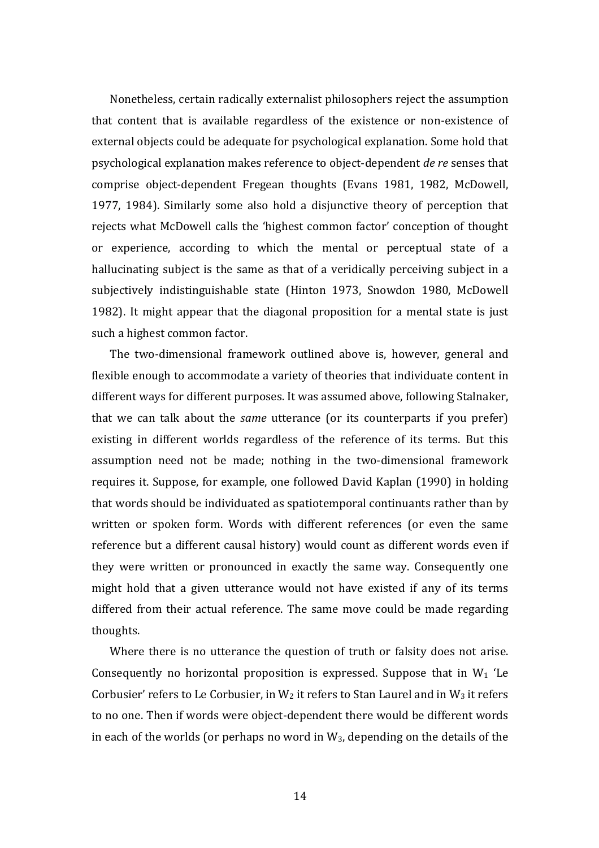Nonetheless, certain radically externalist philosophers reject the assumption that content that is available regardless of the existence or non-existence of external objects could be adequate for psychological explanation. Some hold that psychological explanation makes reference to object-dependent *de re* senses that comprise object-dependent Fregean thoughts (Evans 1981, 1982, McDowell, 1977, 1984). Similarly some also hold a disjunctive theory of perception that rejects what McDowell calls the 'highest common factor' conception of thought or experience, according to which the mental or perceptual state of a hallucinating subject is the same as that of a veridically perceiving subject in a subjectively indistinguishable state (Hinton 1973, Snowdon 1980, McDowell 1982). It might appear that the diagonal proposition for a mental state is just such a highest common factor.

The two-dimensional framework outlined above is, however, general and flexible enough to accommodate a variety of theories that individuate content in different ways for different purposes. It was assumed above, following Stalnaker, that we can talk about the *same* utterance (or its counterparts if you prefer) existing in different worlds regardless of the reference of its terms. But this assumption need not be made; nothing in the two-dimensional framework requires it. Suppose, for example, one followed David Kaplan (1990) in holding that words should be individuated as spatiotemporal continuants rather than by written or spoken form. Words with different references (or even the same reference but a different causal history) would count as different words even if they were written or pronounced in exactly the same way. Consequently one might hold that a given utterance would not have existed if any of its terms differed from their actual reference. The same move could be made regarding thoughts.

Where there is no utterance the question of truth or falsity does not arise. Consequently no horizontal proposition is expressed. Suppose that in  $W_1$  'Le" Corbusier' refers to Le Corbusier, in  $W_2$  it refers to Stan Laurel and in  $W_3$  it refers to no one. Then if words were object-dependent there would be different words in each of the worlds (or perhaps no word in  $W_3$ , depending on the details of the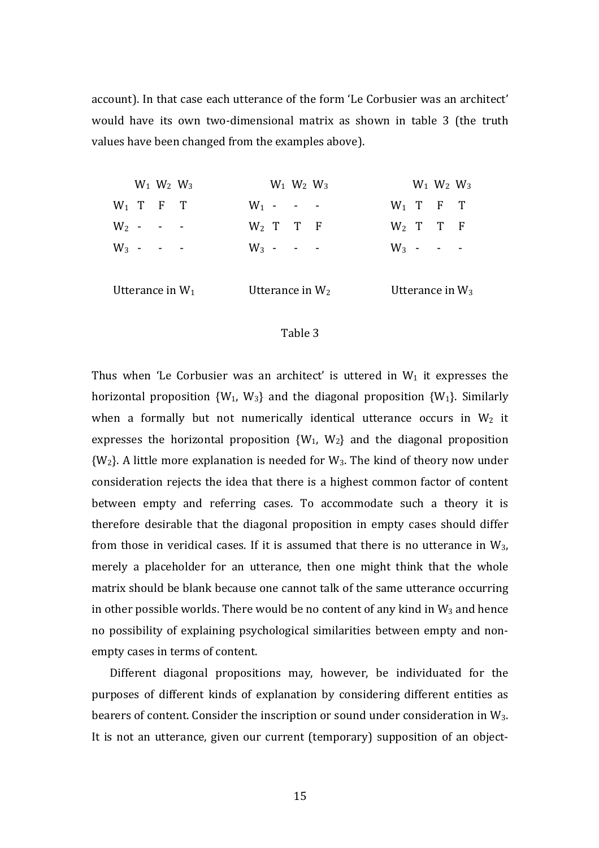account). In that case each utterance of the form 'Le Corbusier was an architect' would have its own two-dimensional matrix as shown in table 3 (the truth values have been changed from the examples above).

| $W_1$ $W_2$ $W_3$  |  |             | $W_1$ $W_2$ $W_3$  |  |                    | $W_1$ $W_2$ $W_3$ |  |
|--------------------|--|-------------|--------------------|--|--------------------|-------------------|--|
| $W_1$ T F T        |  | $W_1$ - - - |                    |  | $W_1$ T F T        |                   |  |
| $W_2$ - - -        |  | $W_2$ T T F |                    |  | $W_2$ T T F        |                   |  |
| $W_3$ - - -        |  | $W_3$ - - - |                    |  | $W_3$ - - -        |                   |  |
| Utterance in $W_1$ |  |             | Utterance in $W_2$ |  | Utterance in $W_3$ |                   |  |

#### Table 3

Thus when 'Le Corbusier was an architect' is uttered in  $W_1$  it expresses the horizontal proposition  ${W_1, W_3}$  and the diagonal proposition  ${W_1}$ . Similarly when a formally but not numerically identical utterance occurs in  $W_2$  it expresses the horizontal proposition  ${W_1, W_2}$  and the diagonal proposition  ${W_2}$ . A little more explanation is needed for W<sub>3</sub>. The kind of theory now under consideration rejects the idea that there is a highest common factor of content between empty and referring cases. To accommodate such a theory it is therefore desirable that the diagonal proposition in empty cases should differ from those in veridical cases. If it is assumed that there is no utterance in  $W_3$ , merely a placeholder for an utterance, then one might think that the whole matrix should be blank because one cannot talk of the same utterance occurring in other possible worlds. There would be no content of any kind in  $W_3$  and hence no possibility of explaining psychological similarities between empty and nonempty cases in terms of content.

Different diagonal propositions may, however, be individuated for the purposes of different kinds of explanation by considering different entities as bearers of content. Consider the inscription or sound under consideration in  $W_3$ . It is not an utterance, given our current (temporary) supposition of an object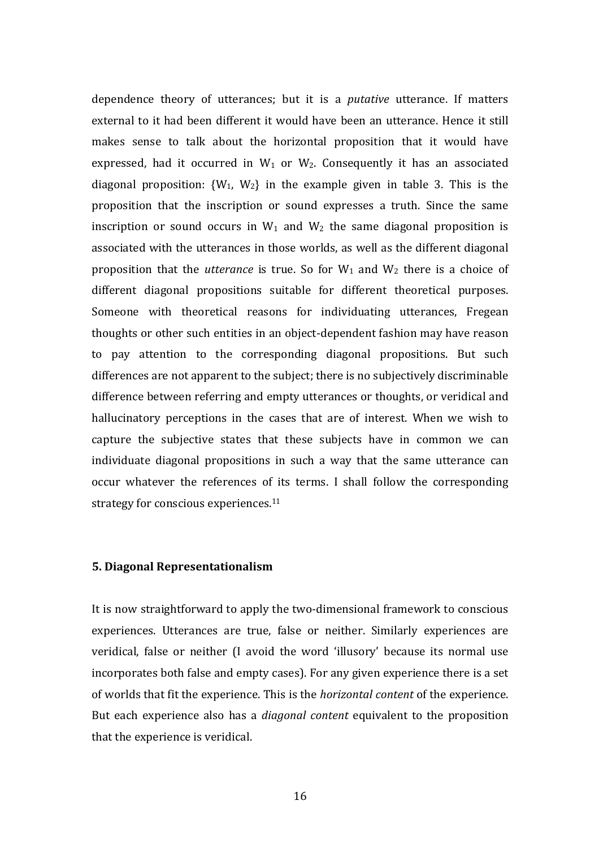dependence theory of utterances; but it is a *putative* utterance. If matters external to it had been different it would have been an utterance. Hence it still makes sense to talk about the horizontal proposition that it would have expressed, had it occurred in  $W_1$  or  $W_2$ . Consequently it has an associated diagonal proposition:  $\{W_1, W_2\}$  in the example given in table 3. This is the proposition that the inscription or sound expresses a truth. Since the same inscription or sound occurs in  $W_1$  and  $W_2$  the same diagonal proposition is" associated with the utterances in those worlds, as well as the different diagonal proposition that the *utterance* is true. So for  $W_1$  and  $W_2$  there is a choice of different diagonal propositions suitable for different theoretical purposes. Someone with theoretical reasons for individuating utterances, Fregean thoughts or other such entities in an object-dependent fashion may have reason to pay attention to the corresponding diagonal propositions. But such differences are not apparent to the subject; there is no subjectively discriminable difference between referring and empty utterances or thoughts, or veridical and hallucinatory perceptions in the cases that are of interest. When we wish to capture the subjective states that these subjects have in common we can individuate diagonal propositions in such a way that the same utterance can occur whatever the references of its terms. I shall follow the corresponding strategy for conscious experiences. $11$ 

# **5. Diagonal Representationalism**

It is now straightforward to apply the two-dimensional framework to conscious experiences. Utterances are true, false or neither. Similarly experiences are veridical, false or neither (I avoid the word 'illusory' because its normal use incorporates both false and empty cases). For any given experience there is a set of worlds that fit the experience. This is the *horizontal content* of the experience. But each experience also has a *diagonal content* equivalent to the proposition that the experience is veridical.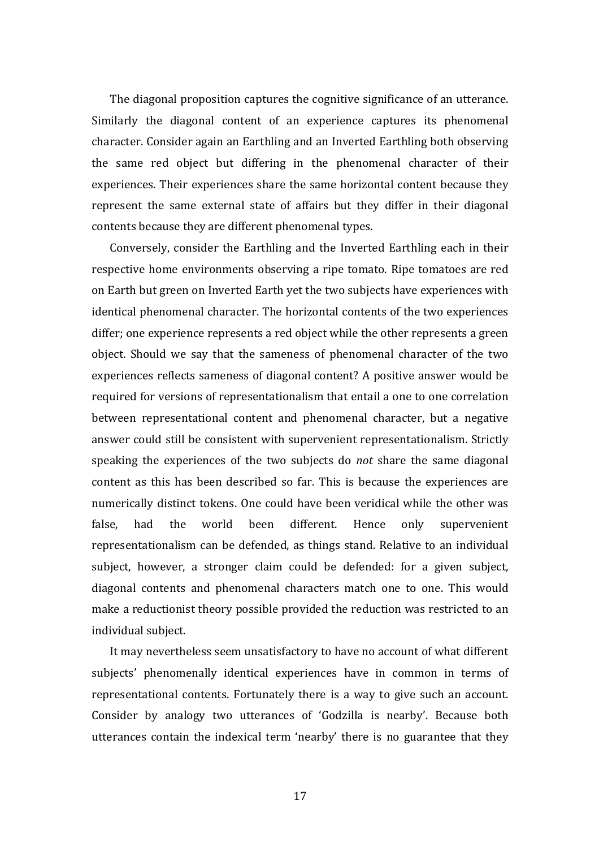The diagonal proposition captures the cognitive significance of an utterance. Similarly the diagonal content of an experience captures its phenomenal character. Consider again an Earthling and an Inverted Earthling both observing the same red object but differing in the phenomenal character of their experiences. Their experiences share the same horizontal content because they represent the same external state of affairs but they differ in their diagonal contents because they are different phenomenal types.

Conversely, consider the Earthling and the Inverted Earthling each in their respective home environments observing a ripe tomato. Ripe tomatoes are red on Earth but green on Inverted Earth yet the two subjects have experiences with identical phenomenal character. The horizontal contents of the two experiences differ; one experience represents a red object while the other represents a green object. Should we say that the sameness of phenomenal character of the two experiences reflects sameness of diagonal content? A positive answer would be required for versions of representationalism that entail a one to one correlation between representational content and phenomenal character, but a negative answer could still be consistent with supervenient representationalism. Strictly speaking the experiences of the two subjects do *not* share the same diagonal content as this has been described so far. This is because the experiences are numerically distinct tokens. One could have been veridical while the other was false, had the world been different. Hence only supervenient representationalism can be defended, as things stand. Relative to an individual subject, however, a stronger claim could be defended: for a given subject, diagonal contents and phenomenal characters match one to one. This would make a reductionist theory possible provided the reduction was restricted to an individual subject.

It may nevertheless seem unsatisfactory to have no account of what different subjects' phenomenally identical experiences have in common in terms of representational contents. Fortunately there is a way to give such an account. Consider by analogy two utterances of 'Godzilla is nearby'. Because both utterances contain the indexical term 'nearby' there is no guarantee that they

17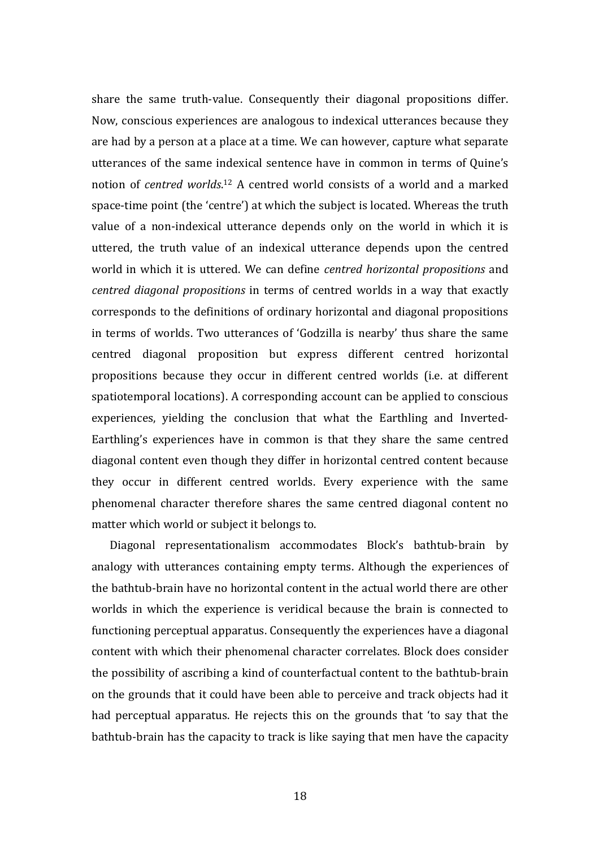share the same truth-value. Consequently their diagonal propositions differ. Now, conscious experiences are analogous to indexical utterances because they are had by a person at a place at a time. We can however, capture what separate utterances of the same indexical sentence have in common in terms of Quine's notion of *centred worlds*.<sup>12</sup> A centred world consists of a world and a marked space-time point (the 'centre') at which the subject is located. Whereas the truth value of a non-indexical utterance depends only on the world in which it is uttered, the truth value of an indexical utterance depends upon the centred world in which it is uttered. We can define *centred horizontal propositions* and *centred\* diagonal\* propositions* in" terms" of" centred" worlds"in" a" way" that" exactly" corresponds to the definitions of ordinary horizontal and diagonal propositions in terms of worlds. Two utterances of 'Godzilla is nearby' thus share the same centred" diagonal" proposition" but" express" different" centred" horizontal" propositions because they occur in different centred worlds (i.e. at different spatiotemporal locations). A corresponding account can be applied to conscious experiences, vielding the conclusion that what the Earthling and Inverted-Earthling's experiences have in common is that they share the same centred diagonal content even though they differ in horizontal centred content because they occur in different centred worlds. Every experience with the same phenomenal character therefore shares the same centred diagonal content no" matter which world or subject it belongs to.

Diagonal representationalism accommodates Block's bathtub-brain by analogy with utterances containing empty terms. Although the experiences of the bathtub-brain have no horizontal content in the actual world there are other worlds in which the experience is veridical because the brain is connected to functioning perceptual apparatus. Consequently the experiences have a diagonal content with which their phenomenal character correlates. Block does consider the possibility of ascribing a kind of counterfactual content to the bathtub-brain on the grounds that it could have been able to perceive and track objects had it had perceptual apparatus. He rejects this on the grounds that 'to say that the bathtub-brain has the capacity to track is like saying that men have the capacity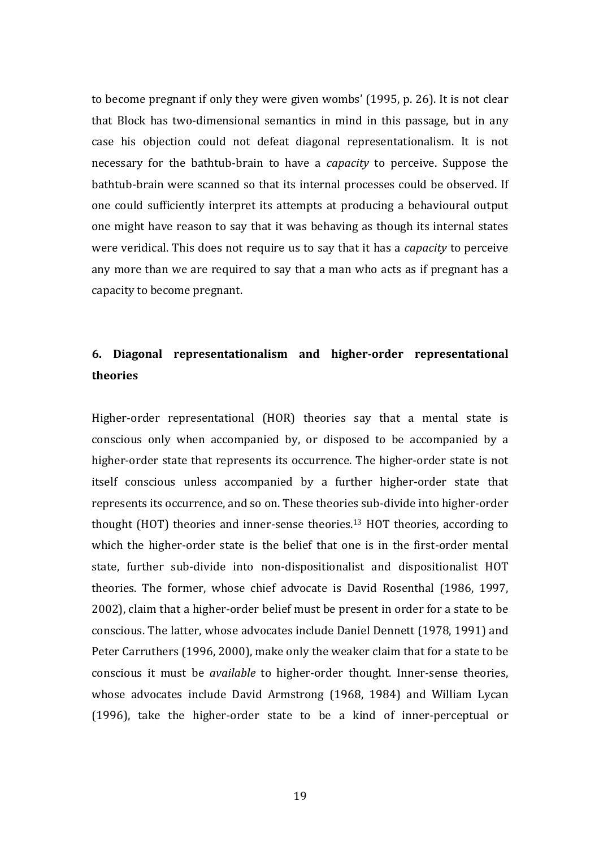to become pregnant if only they were given wombs' (1995, p. 26). It is not clear that Block has two-dimensional semantics in mind in this passage, but in any case his objection could not defeat diagonal representationalism. It is not necessary for the bathtub-brain to have a *capacity* to perceive. Suppose the bathtub-brain were scanned so that its internal processes could be observed. If one could sufficiently interpret its attempts at producing a behavioural output one might have reason to say that it was behaving as though its internal states were veridical. This does not require us to say that it has a *capacity* to perceive any more than we are required to say that a man who acts as if pregnant has a capacity to become pregnant.

# **6.# Diagonal# representationalism# and# higher?order# representational# theories**

Higher-order representational (HOR) theories say that a mental state is conscious only when accompanied by, or disposed to be accompanied by a higher-order state that represents its occurrence. The higher-order state is not itself conscious unless accompanied by a further higher-order state that represents its occurrence, and so on. These theories sub-divide into higher-order thought (HOT) theories and inner-sense theories.<sup>13</sup> HOT theories, according to which the higher-order state is the belief that one is in the first-order mental state, further sub-divide into non-dispositionalist and dispositionalist HOT theories. The former, whose chief advocate is David Rosenthal (1986, 1997, 2002), claim that a higher-order belief must be present in order for a state to be conscious. The latter, whose advocates include Daniel Dennett (1978, 1991) and Peter Carruthers (1996, 2000), make only the weaker claim that for a state to be conscious it must be *available* to higher-order thought. Inner-sense theories, whose advocates include David Armstrong (1968, 1984) and William Lycan  $(1996)$ , take the higher-order state to be a kind of inner-perceptual or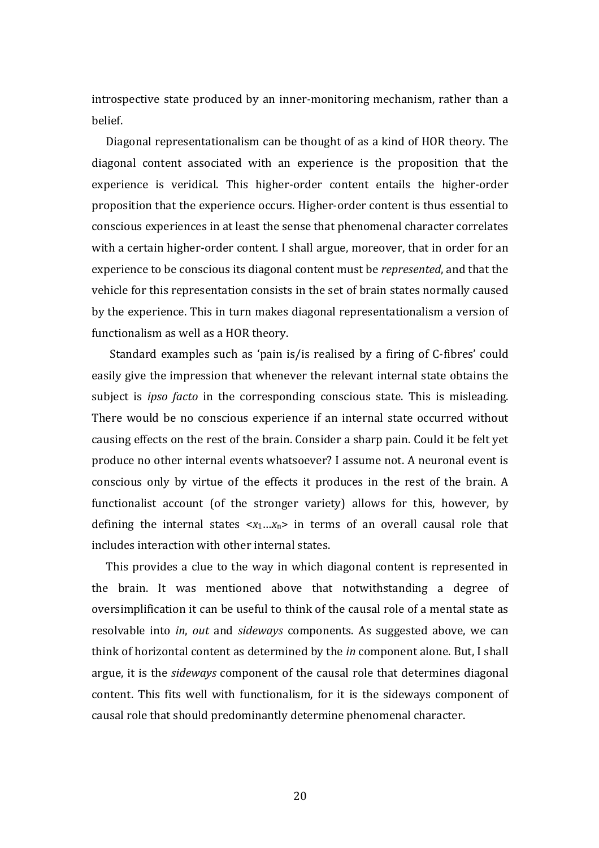introspective state produced by an inner-monitoring mechanism, rather than a belief.

Diagonal representationalism can be thought of as a kind of HOR theory. The diagonal content associated with an experience is the proposition that the experience is veridical. This higher-order content entails the higher-order proposition that the experience occurs. Higher-order content is thus essential to conscious experiences in at least the sense that phenomenal character correlates with a certain higher-order content. I shall argue, moreover, that in order for an experience to be conscious its diagonal content must be *represented*, and that the vehicle for this representation consists in the set of brain states normally caused by the experience. This in turn makes diagonal representationalism a version of functionalism as well as a HOR theory.

Standard examples such as 'pain is/is realised by a firing of C-fibres' could easily give the impression that whenever the relevant internal state obtains the subject is *ipso facto* in the corresponding conscious state. This is misleading. There would be no conscious experience if an internal state occurred without causing effects on the rest of the brain. Consider a sharp pain. Could it be felt yet produce no other internal events whatsoever? I assume not. A neuronal event is conscious only by virtue of the effects it produces in the rest of the brain. A functionalist account (of the stronger variety) allows for this, however, by defining the internal states  $\langle x_1...x_n\rangle$  in terms of an overall causal role that includes interaction with other internal states.

This provides a clue to the way in which diagonal content is represented in the brain. It was mentioned above that notwithstanding a degree of oversimplification it can be useful to think of the causal role of a mental state as resolvable into *in*, *out* and *sideways* components. As suggested above, we can think of horizontal content as determined by the *in* component alone. But, I shall argue, it is the *sideways* component of the causal role that determines diagonal content. This fits well with functionalism, for it is the sideways component of causal role that should predominantly determine phenomenal character.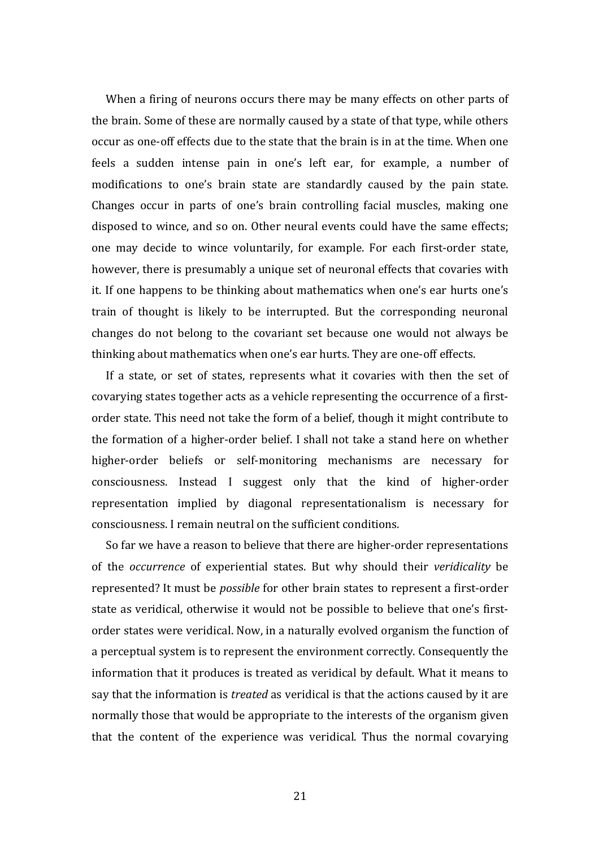When a firing of neurons occurs there may be many effects on other parts of the brain. Some of these are normally caused by a state of that type, while others occur as one-off effects due to the state that the brain is in at the time. When one feels a sudden intense pain in one's left ear, for example, a number of modifications to one's brain state are standardly caused by the pain state. Changes occur in parts of one's brain controlling facial muscles, making one" disposed to wince, and so on. Other neural events could have the same effects; one may decide to wince voluntarily, for example. For each first-order state, however, there is presumably a unique set of neuronal effects that covaries with it. If one happens to be thinking about mathematics when one's ear hurts one's train of thought is likely to be interrupted. But the corresponding neuronal changes do not belong to the covariant set because one would not always be" thinking about mathematics when one's ear hurts. They are one-off effects.

If a state, or set of states, represents what it covaries with then the set of covarying states together acts as a vehicle representing the occurrence of a firstorder state. This need not take the form of a belief, though it might contribute to the formation of a higher-order belief. I shall not take a stand here on whether higher-order beliefs or self-monitoring mechanisms are necessary for consciousness. Instead I suggest only that the kind of higher-order representation implied by diagonal representationalism is necessary for consciousness. I remain neutral on the sufficient conditions.

So far we have a reason to believe that there are higher-order representations of the *occurrence* of experiential states. But why should their *veridicality* be represented? It must be *possible* for other brain states to represent a first-order state as veridical, otherwise it would not be possible to believe that one's firstorder states were veridical. Now, in a naturally evolved organism the function of a perceptual system is to represent the environment correctly. Consequently the information that it produces is treated as veridical by default. What it means to say that the information is *treated* as veridical is that the actions caused by it are normally those that would be appropriate to the interests of the organism given that the content of the experience was veridical. Thus the normal covarying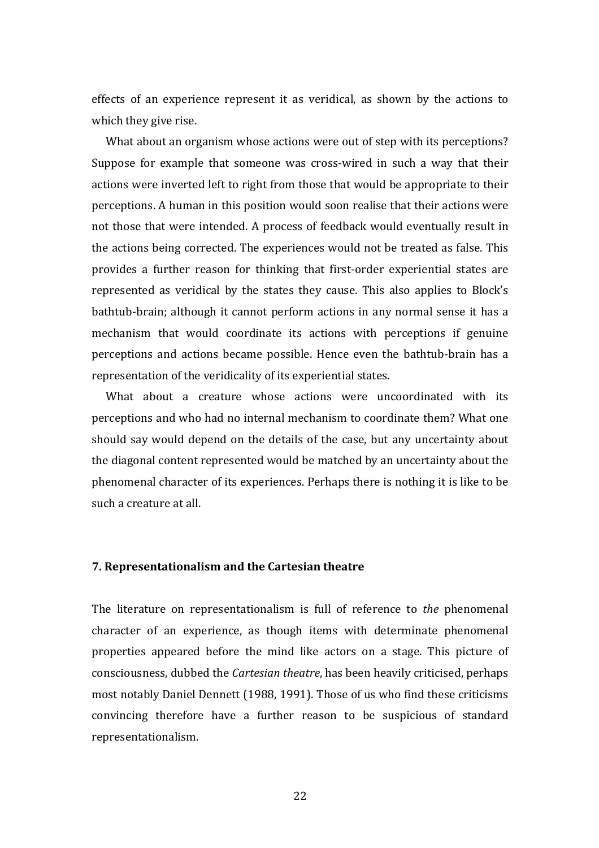effects of an experience represent it as veridical, as shown by the actions to which they give rise.

What about an organism whose actions were out of step with its perceptions? Suppose for example that someone was cross-wired in such a way that their actions were inverted left to right from those that would be appropriate to their perceptions. A human in this position would soon realise that their actions were not those that were intended. A process of feedback would eventually result in the actions being corrected. The experiences would not be treated as false. This provides a further reason for thinking that first-order experiential states are represented as veridical by the states they cause. This also applies to Block's bathtub-brain; although it cannot perform actions in any normal sense it has a mechanism that would coordinate its actions with perceptions if genuine perceptions and actions became possible. Hence even the bathtub-brain has a representation of the veridicality of its experiential states.

What about a creature whose actions were uncoordinated with its perceptions and who had no internal mechanism to coordinate them? What one should say would depend on the details of the case, but any uncertainty about the diagonal content represented would be matched by an uncertainty about the phenomenal character of its experiences. Perhaps there is nothing it is like to be such a creature at all.

# **7. Representationalism and the Cartesian theatre**

The literature on representationalism is full of reference to *the* phenomenal character of an experience, as though items with determinate phenomenal properties appeared before the mind like actors on a stage. This picture of consciousness, dubbed the *Cartesian theatre*, has been heavily criticised, perhaps most notably Daniel Dennett (1988, 1991). Those of us who find these criticisms convincing therefore have a further reason to be suspicious of standard representationalism.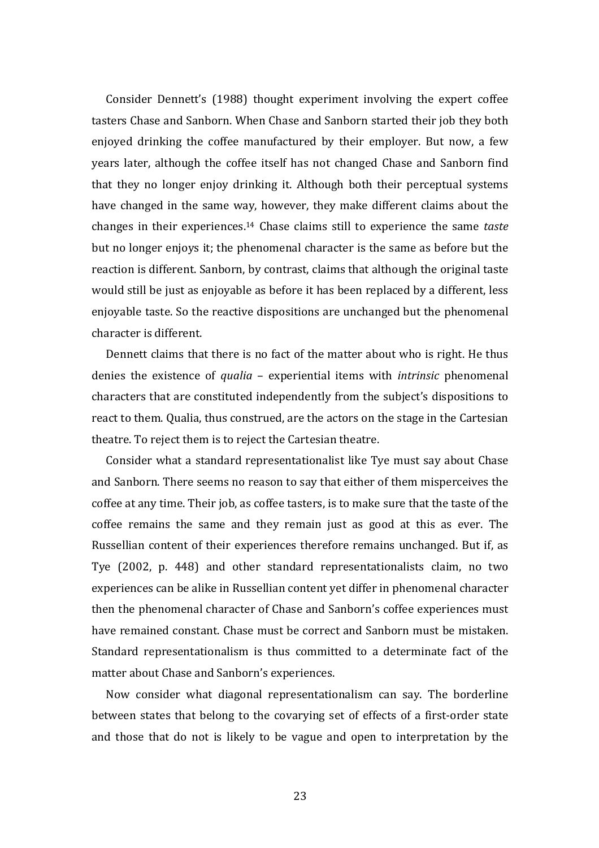Consider Dennett's (1988) thought experiment involving the expert coffee tasters Chase and Sanborn. When Chase and Sanborn started their job they both enjoyed drinking the coffee manufactured by their employer. But now, a few years later, although the coffee itself has not changed Chase and Sanborn find that they no longer enjoy drinking it. Although both their perceptual systems have changed in the same way, however, they make different claims about the changes in their experiences.<sup>14</sup> Chase claims still to experience the same *taste* but no longer enjoys it; the phenomenal character is the same as before but the reaction is different. Sanborn, by contrast, claims that although the original taste would still be just as enjoyable as before it has been replaced by a different, less enjoyable taste. So the reactive dispositions are unchanged but the phenomenal character is different.

Dennett claims that there is no fact of the matter about who is right. He thus denies the existence of *qualia* – experiential items with *intrinsic* phenomenal characters that are constituted independently from the subject's dispositions to react to them. Qualia, thus construed, are the actors on the stage in the Cartesian theatre. To reject them is to reject the Cartesian theatre.

Consider what a standard representationalist like Tye must say about Chase and Sanborn. There seems no reason to say that either of them misperceives the coffee at any time. Their job, as coffee tasters, is to make sure that the taste of the coffee remains the same and they remain just as good at this as ever. The Russellian content of their experiences therefore remains unchanged. But if, as Tye (2002, p. 448) and other standard representationalists claim, no two experiences can be alike in Russellian content yet differ in phenomenal character then the phenomenal character of Chase and Sanborn's coffee experiences must have remained constant. Chase must be correct and Sanborn must be mistaken. Standard representationalism is thus committed to a determinate fact of the matter about Chase and Sanborn's experiences.

Now consider what diagonal representationalism can say. The borderline between states that belong to the covarying set of effects of a first-order state and those that do not is likely to be vague and open to interpretation by the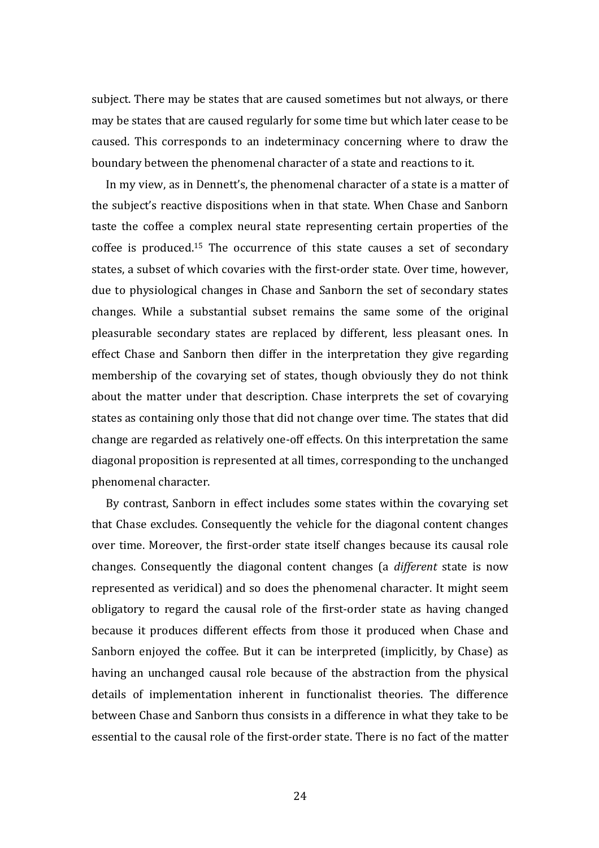subject. There may be states that are caused sometimes but not always, or there may be states that are caused regularly for some time but which later cease to be caused. This corresponds to an indeterminacy concerning where to draw the boundary between the phenomenal character of a state and reactions to it.

In my view, as in Dennett's, the phenomenal character of a state is a matter of the subject's reactive dispositions when in that state. When Chase and Sanborn taste the coffee a complex neural state representing certain properties of the coffee is produced.<sup>15</sup> The occurrence of this state causes a set of secondary states, a subset of which covaries with the first-order state. Over time, however, due to physiological changes in Chase and Sanborn the set of secondary states changes. While a substantial subset remains the same some of the original pleasurable secondary states are replaced by different, less pleasant ones. In effect Chase and Sanborn then differ in the interpretation they give regarding membership of the covarying set of states, though obviously they do not think about the matter under that description. Chase interprets the set of covarying states as containing only those that did not change over time. The states that did change are regarded as relatively one-off effects. On this interpretation the same diagonal proposition is represented at all times, corresponding to the unchanged phenomenal character.

By contrast, Sanborn in effect includes some states within the covarying set that Chase excludes. Consequently the vehicle for the diagonal content changes over time. Moreover, the first-order state itself changes because its causal role changes. Consequently the diagonal content changes (a *different* state is now represented as veridical) and so does the phenomenal character. It might seem obligatory to regard the causal role of the first-order state as having changed because it produces different effects from those it produced when Chase and Sanborn enjoyed the coffee. But it can be interpreted (implicitly, by Chase) as having an unchanged causal role because of the abstraction from the physical details of implementation inherent in functionalist theories. The difference between Chase and Sanborn thus consists in a difference in what they take to be essential to the causal role of the first-order state. There is no fact of the matter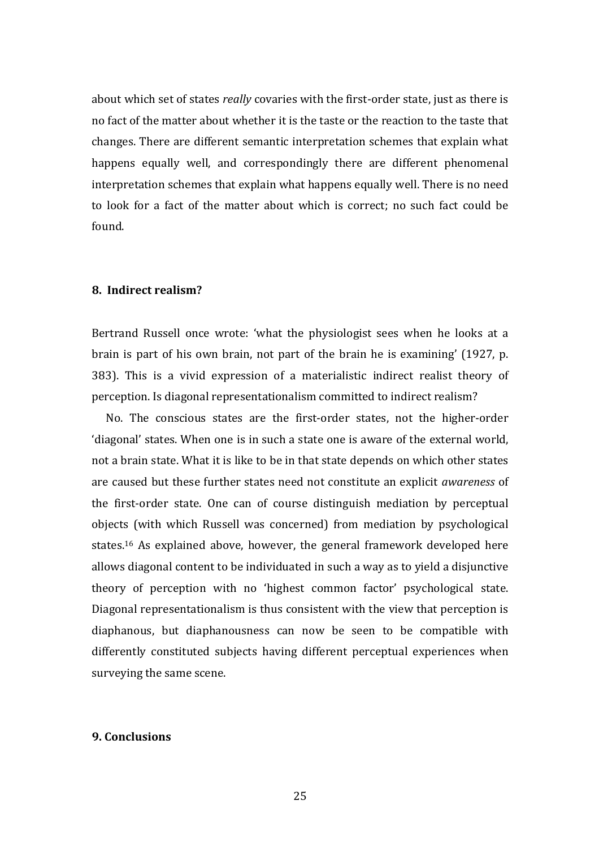about which set of states *really* covaries with the first-order state, just as there is no fact of the matter about whether it is the taste or the reaction to the taste that changes. There are different semantic interpretation schemes that explain what happens equally well, and correspondingly there are different phenomenal interpretation schemes that explain what happens equally well. There is no need to look for a fact of the matter about which is correct; no such fact could be" found.

# **8. Indirect realism?**

Bertrand Russell once wrote: 'what the physiologist sees when he looks at a brain is part of his own brain, not part of the brain he is examining' (1927, p.") 383). This is a vivid expression of a materialistic indirect realist theory of perception. Is diagonal representationalism committed to indirect realism?

No. The conscious states are the first-order states, not the higher-order 'diagonal' states. When one is in such a state one is aware of the external world, not a brain state. What it is like to be in that state depends on which other states are caused but these further states need not constitute an explicit *awareness* of the first-order state. One can of course distinguish mediation by perceptual objects (with which Russell was concerned) from mediation by psychological states.<sup>16</sup> As explained above, however, the general framework developed here allows diagonal content to be individuated in such a way as to yield a disjunctive theory of perception with no 'highest common factor' psychological state. Diagonal representationalism is thus consistent with the view that perception is diaphanous, but diaphanousness can now be seen to be compatible with differently constituted subjects having different perceptual experiences when surveying the same scene.

# **9. Conclusions**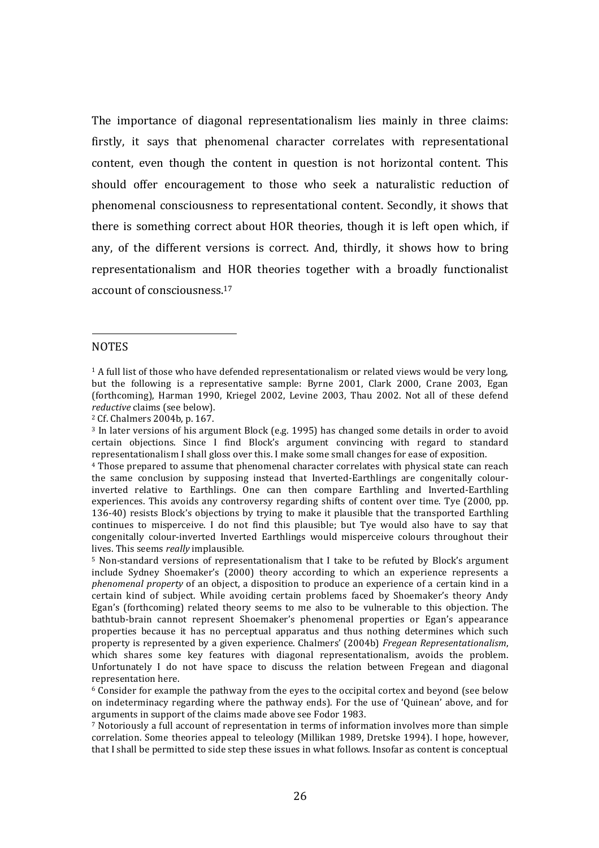The importance of diagonal representationalism lies mainly in three claims: firstly, it says that phenomenal character correlates with representational content, even though the content in question is not horizontal content. This should offer encouragement to those who seek a naturalistic reduction of phenomenal consciousness to representational content. Secondly, it shows that there is something correct about HOR theories, though it is left open which, if any, of the different versions is correct. And, thirdly, it shows how to bring representationalism and HOR theories together with a broadly functionalist account of consciousness.<sup>17</sup>

## **NOTES**

 $\overline{a}$ 

<sup>5</sup> Non-standard versions of representationalism that I take to be refuted by Block's argument include Sydney Shoemaker's (2000) theory according to which an experience represents a *phenomenal property* of an object, a disposition to produce an experience of a certain kind in a certain kind of subject. While avoiding certain problems faced by Shoemaker's theory Andy Egan's (forthcoming) related theory seems to me also to be vulnerable to this objection. The bathtub-brain cannot represent Shoemaker's phenomenal properties or Egan's appearance properties because it has no perceptual apparatus and thus nothing determines which such property is represented by a given experience. Chalmers' (2004b) *Fregean Representationalism*, which shares some key features with diagonal representationalism, avoids the problem. Unfortunately I do not have space to discuss the relation between Fregean and diagonal representation here.

 $6$  Consider for example the pathway from the eyes to the occipital cortex and beyond (see below on indeterminacy regarding where the pathway ends). For the use of 'Quinean' above, and for arguments in support of the claims made above see Fodor 1983.

 $<sup>7</sup>$  Notoriously a full account of representation in terms of information involves more than simple</sup> correlation. Some theories appeal to teleology (Millikan 1989, Dretske 1994). I hope, however, that I shall be permitted to side step these issues in what follows. Insofar as content is conceptual

 $1$  A full list of those who have defended representationalism or related views would be very long, but the following is a representative sample: Byrne 2001, Clark 2000, Crane 2003, Egan (forthcoming), Harman 1990, Kriegel 2002, Levine 2003, Thau 2002. Not all of these defend *reductive* claims (see below).

<sup>&</sup>lt;sup>2</sup> Cf. Chalmers 2004b, p. 167.

<sup>&</sup>lt;sup>3</sup> In later versions of his argument Block (e.g. 1995) has changed some details in order to avoid certain objections. Since I find Block's argument convincing with regard to standard representationalism I shall gloss over this. I make some small changes for ease of exposition.

 $4$  Those prepared to assume that phenomenal character correlates with physical state can reach the same conclusion by supposing instead that Inverted-Earthlings are congenitally colourinverted relative to Earthlings. One can then compare Earthling and Inverted-Earthling experiences. This avoids any controversy regarding shifts of content over time. Tye (2000, pp. 136-40) resists Block's objections by trying to make it plausible that the transported Earthling  $\overline{\text{continuous}}$  to misperceive. I do not find this plausible; but Tye would also have to say that congenitally colour-inverted Inverted Earthlings would misperceive colours throughout their lives. This seems *really* implausible.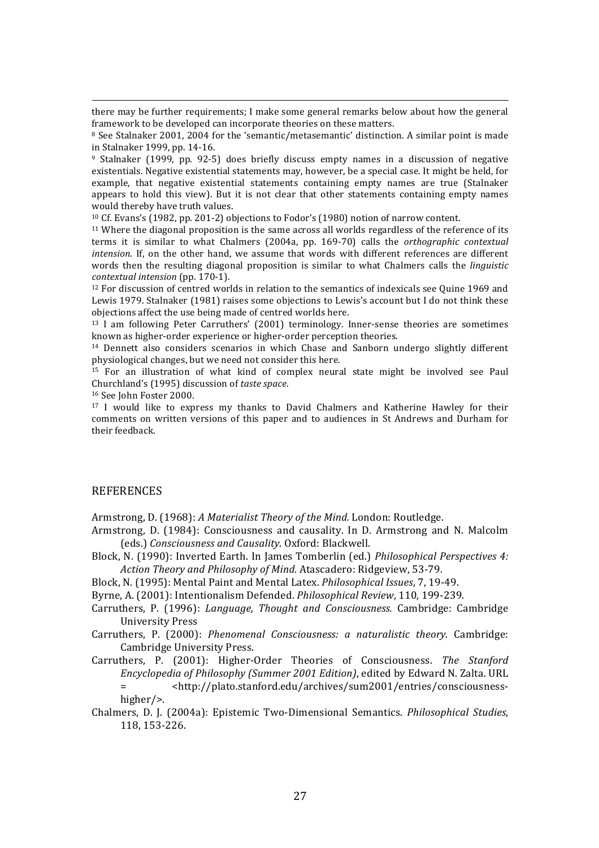there may be further requirements; I make some general remarks below about how the general framework to be developed can incorporate theories on these matters.

<sup>9</sup> Stalnaker (1999, pp. 92-5) does briefly discuss empty names in a discussion of negative existentials. Negative existential statements may, however, be a special case. It might be held, for example, that negative existential statements containing empty names are true (Stalnaker" appears to hold this view). But it is not clear that other statements containing empty names would thereby have truth values.

 $10$  Cf. Evans's (1982, pp. 201-2) objections to Fodor's (1980) notion of narrow content.

 $11$  Where the diagonal proposition is the same across all worlds regardless of the reference of its terms it is similar to what Chalmers (2004a, pp. 169-70) calls the *orthographic contextual intension*. If, on the other hand, we assume that words with different references are different words then the resulting diagonal proposition is similar to what Chalmers calls the *linguistic contextual intension* (pp. 170-1).

 $12$  For discussion of centred worlds in relation to the semantics of indexicals see Quine 1969 and Lewis 1979. Stalnaker (1981) raises some objections to Lewis's account but I do not think these objections affect the use being made of centred worlds here.

<sup>13</sup> I am following Peter Carruthers' (2001) terminology. Inner-sense theories are sometimes known as higher-order experience or higher-order perception theories.

 $14$  Dennett also considers scenarios in which Chase and Sanborn undergo slightly different physiological changes, but we need not consider this here.

 $15$  For an illustration of what kind of complex neural state might be involved see Paul Churchland's (1995) discussion of *taste space*.

<sup>16</sup> See John Foster 2000.

 $\overline{a}$ 

<sup>17</sup> I would like to express my thanks to David Chalmers and Katherine Hawley for their comments on written versions of this paper and to audiences in St Andrews and Durham for their feedback.

#### **REFERENCES**

Armstrong, D. (1968): *A Materialist Theory of the Mind.* London: Routledge.

- Armstrong, D. (1984): Consciousness and causality. In D. Armstrong and N. Malcolm (eds.) Consciousness and Causality. Oxford: Blackwell.
- Block, N. (1990): Inverted Earth. In James Tomberlin (ed.) *Philosophical Perspectives 4:* Action Theory and Philosophy of Mind. Atascadero: Ridgeview, 53-79.
- Block,"N."(1995):"Mental"Paint"and"Mental"Latex."*Philosophical\*Issues*,"7,"19,49.

Byrne, A. (2001): Intentionalism Defended. *Philosophical Review*, 110, 199-239.

- Carruthers, P. (1996): *Language, Thought and Consciousness.* Cambridge: Cambridge **University Press**
- Carruthers, P. (2000): *Phenomenal Consciousness: a naturalistic theory*. Cambridge: Cambridge University Press.
- Carruthers, P. (2001): Higher-Order Theories of Consciousness. The Stanford *Encyclopedia of Philosophy (Summer 2001 Edition)*, edited by Edward N. Zalta. URL =" <http://plato.stanford.edu/archives/sum2001/entries/consciousness, higher/>.
- Chalmers, D. J. (2004a): Epistemic Two-Dimensional Semantics. *Philosophical Studies*, 118, 153-226.

 $8$  See Stalnaker 2001, 2004 for the 'semantic/metasemantic' distinction. A similar point is made in Stalnaker 1999, pp. 14-16.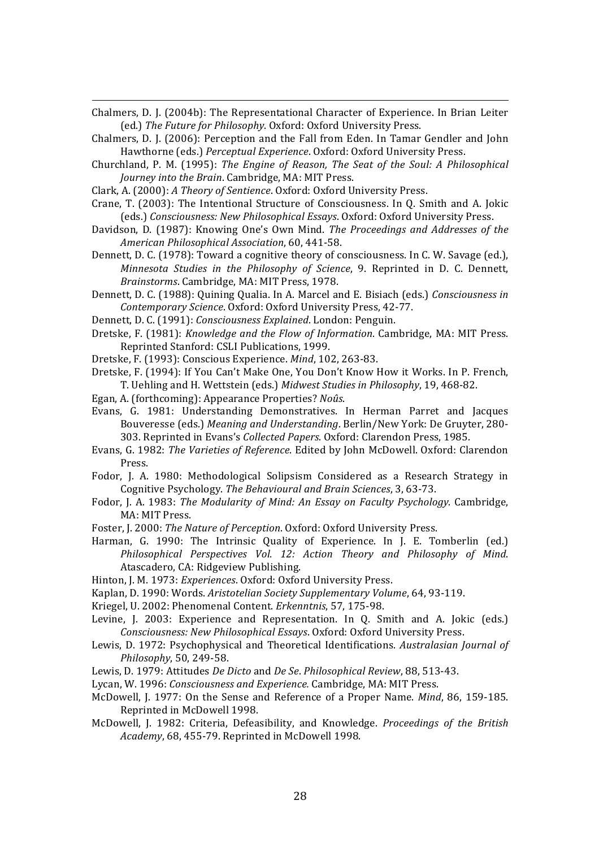Chalmers, D. J. (2004b): The Representational Character of Experience. In Brian Leiter (ed.) The Future for Philosophy. Oxford: Oxford University Press.

Chalmers, D. J. (2006): Perception and the Fall from Eden. In Tamar Gendler and John Hawthorne (eds.) *Perceptual Experience*. Oxford: Oxford University Press.

Churchland, P. M. (1995): *The Engine of Reason, The Seat of the Soul: A Philosophical Journey into the Brain.* Cambridge, MA: MIT Press.

Clark, A. (2000): A Theory of Sentience. Oxford: Oxford University Press.

 $\overline{a}$ 

- Crane, T. (2003): The Intentional Structure of Consciousness. In Q. Smith and A. Jokic (eds.)"*Consciousness:\*New\*Philosophical\*Essays*."Oxford:"Oxford"University"Press.
- Davidson, D. (1987): Knowing One's Own Mind. The Proceedings and Addresses of the *American\*Philosophical\*Association*,"60,"441,58.
- Dennett, D. C. (1978): Toward a cognitive theory of consciousness. In C. W. Savage (ed.), *Minnesota Studies in the Philosophy of Science*, 9. Reprinted in D. C. Dennett, *Brainstorms*. Cambridge, MA: MIT Press, 1978.
- Dennett, D. C. (1988): Quining Qualia. In A. Marcel and E. Bisiach (eds.) *Consciousness in Contemporary Science. Oxford: Oxford University Press, 42-77.*
- Dennett, D. C. (1991): *Consciousness Explained*. London: Penguin.
- Dretske, F. (1981): *Knowledge and the Flow of Information*. Cambridge, MA: MIT Press. Reprinted Stanford: CSLI Publications, 1999.
- Dretske, F. (1993): Conscious Experience. *Mind*, 102, 263-83.

Dretske, F. (1994): If You Can't Make One, You Don't Know How it Works. In P. French, T. Uehling and H. Wettstein (eds.) *Midwest Studies in Philosophy*, 19, 468-82.

- Egan,"A."(forthcoming):"Appearance"Properties?"*Noûs*.
- Evans, G. 1981: Understanding Demonstratives. In Herman Parret and Jacques Bouveresse (eds.) *Meaning and Understanding*. Berlin/New York: De Gruyter, 280-303. Reprinted in Evans's *Collected Papers*. Oxford: Clarendon Press, 1985.
- Evans, G. 1982: The Varieties of Reference. Edited by John McDowell. Oxford: Clarendon Press.
- Fodor, J. A. 1980: Methodological Solipsism Considered as a Research Strategy in Cognitive Psychology. The Behavioural and Brain Sciences, 3, 63-73.
- Fodor, J. A. 1983: *The Modularity of Mind: An Essay on Faculty Psychology*. Cambridge, MA: MIT Press.
- Foster, J. 2000: *The Nature of Perception*. Oxford: Oxford University Press.
- Harman, G. 1990: The Intrinsic Quality of Experience. In J. E. Tomberlin (ed.) *Philosophical\* Perspectives\* Vol.\* 12:\* Action\* Theory\* and\* Philosophy\* of\* Mind*." Atascadero, CA: Ridgeview Publishing.
- Hinton, J. M. 1973: *Experiences*. Oxford: Oxford University Press.
- Kaplan,"D."1990:"Words."*Aristotelian\*Society\*Supplementary\*Volume*,"64,"93,119.

Kriegel, U. 2002: Phenomenal Content. *Erkenntnis*, 57, 175-98.

- Levine, J. 2003: Experience and Representation. In Q. Smith and A. Jokic (eds.) *Consciousness: New Philosophical Essays. Oxford: Oxford University Press.*
- Lewis, D. 1972: Psychophysical and Theoretical Identifications. Australasian Journal of *Philosophy*,"50,"249,58.
- Lewis, D. 1979: Attitudes *De Dicto* and *De Se. Philosophical Review*, 88, 513-43.
- Lycan, W. 1996: *Consciousness and Experience.* Cambridge, MA: MIT Press.
- McDowell, J. 1977: On the Sense and Reference of a Proper Name. *Mind*, 86, 159-185. Reprinted in McDowell 1998.
- McDowell, J. 1982: Criteria, Defeasibility, and Knowledge. *Proceedings of the British* Academy, 68, 455-79. Reprinted in McDowell 1998.